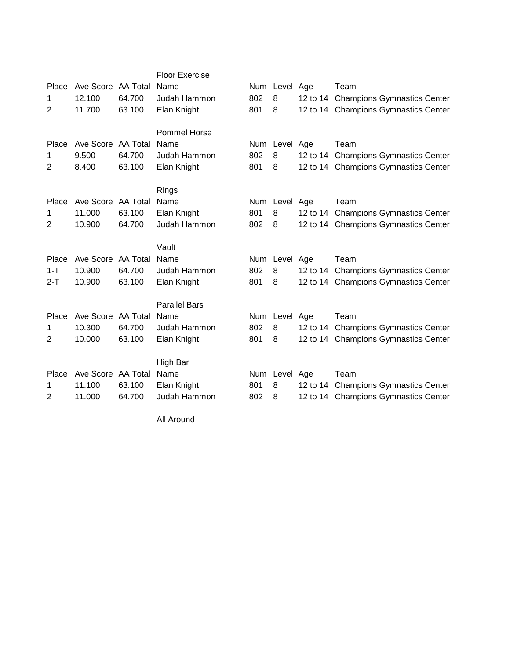|                |                    |        | <b>Floor Exercise</b> |     |               |                                      |
|----------------|--------------------|--------|-----------------------|-----|---------------|--------------------------------------|
| Place          | Ave Score AA Total |        | Name                  |     | Num Level Age | Team                                 |
| 1              | 12.100             | 64.700 | Judah Hammon          | 802 | 8             | 12 to 14 Champions Gymnastics Center |
| 2              | 11.700             | 63.100 | Elan Knight           | 801 | 8             | 12 to 14 Champions Gymnastics Center |
|                |                    |        |                       |     |               |                                      |
|                |                    |        | <b>Pommel Horse</b>   |     |               |                                      |
| Place          | Ave Score AA Total |        | Name                  | Num | Level Age     | Team                                 |
| 1              | 9.500              | 64.700 | Judah Hammon          | 802 | 8             | 12 to 14 Champions Gymnastics Center |
| 2              | 8.400              | 63.100 | Elan Knight           | 801 | 8             | 12 to 14 Champions Gymnastics Center |
|                |                    |        |                       |     |               |                                      |
|                |                    |        | Rings                 |     |               |                                      |
| Place          | Ave Score AA Total |        | Name                  |     | Num Level Age | Team                                 |
| 1              | 11.000             | 63.100 | Elan Knight           | 801 | 8             | 12 to 14 Champions Gymnastics Center |
| $\overline{2}$ | 10.900             | 64.700 | Judah Hammon          | 802 | 8             | 12 to 14 Champions Gymnastics Center |
|                |                    |        |                       |     |               |                                      |
|                |                    |        | Vault                 |     |               |                                      |
| Place          | Ave Score AA Total |        | Name                  | Num | Level Age     | Team                                 |
| $1 - T$        | 10.900             | 64.700 | Judah Hammon          | 802 | 8             | 12 to 14 Champions Gymnastics Center |
| $2 - T$        | 10.900             | 63.100 | Elan Knight           | 801 | 8             | 12 to 14 Champions Gymnastics Center |
|                |                    |        |                       |     |               |                                      |
|                |                    |        | <b>Parallel Bars</b>  |     |               |                                      |
| Place          | Ave Score AA Total |        | Name                  | Num | Level Age     | Team                                 |
| 1              | 10.300             | 64.700 | Judah Hammon          | 802 | 8             | 12 to 14 Champions Gymnastics Center |
| 2              | 10.000             | 63.100 | Elan Knight           | 801 | 8             | 12 to 14 Champions Gymnastics Center |
|                |                    |        | High Bar              |     |               |                                      |
| Place          | Ave Score AA Total |        | Name                  |     | Num Level Age | Team                                 |
|                | 11.100             | 63.100 | Elan Knight           | 801 | 8             | 12 to 14 Champions Gymnastics Center |
| 1              |                    |        |                       |     |               |                                      |
| 2              | 11.000             | 64.700 | Judah Hammon          | 802 | 8             | 12 to 14 Champions Gymnastics Center |

All Around